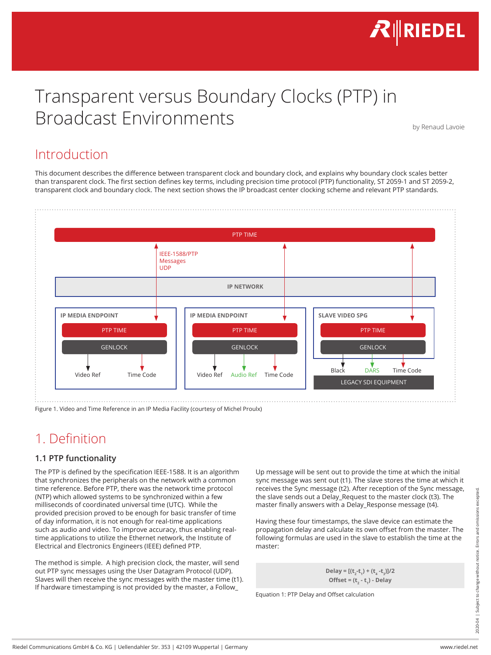

# Transparent versus Boundary Clocks (PTP) in Broadcast Environments

by Renaud Lavoie

### Introduction

This document describes the difference between transparent clock and boundary clock, and explains why boundary clock scales better than transparent clock. The first section defines key terms, including precision time protocol (PTP) functionality, ST 2059-1 and ST 2059-2, transparent clock and boundary clock. The next section shows the IP broadcast center clocking scheme and relevant PTP standards.



Figure 1. Video and Time Reference in an IP Media Facility (courtesy of Michel Proulx)

### 1. Definition

#### **1.1 PTP functionality**

If NTP) which allowed systems to be synchronized within a few the stave sends out a Delay. Request to the master clock (t3). The<br>
milliseconds of coordinated universal time (UTC). While the<br>
milliseconds of coordinated un The PTP is defined by the specification IEEE-1588. It is an algorithm that synchronizes the peripherals on the network with a common time reference. Before PTP, there was the network time protocol (NTP) which allowed systems to be synchronized within a few milliseconds of coordinated universal time (UTC). While the provided precision proved to be enough for basic transfer of time of day information, it is not enough for real-time applications such as audio and video. To improve accuracy, thus enabling realtime applications to utilize the Ethernet network, the Institute of Electrical and Electronics Engineers (IEEE) defined PTP.

The method is simple. A high precision clock, the master, will send out PTP sync messages using the User Datagram Protocol (UDP). Slaves will then receive the sync messages with the master time (t1). If hardware timestamping is not provided by the master, a Follow\_

Up message will be sent out to provide the time at which the initial sync message was sent out (t1). The slave stores the time at which it receives the Sync message (t2). After reception of the Sync message, the slave sends out a Delay\_Request to the master clock (t3). The master finally answers with a Delay\_Response message (t4).

Having these four timestamps, the slave device can estimate the propagation delay and calculate its own offset from the master. The following formulas are used in the slave to establish the time at the master:

> $\text{Delay} = \left[ (\text{t}_{2} - \text{t}_{1}) + (\text{t}_{4} - \text{t}_{3}) \right] / 2$ **Offset = (t<sub>2</sub> - t<sub>1</sub>) - Delay**

Equation 1: PTP Delay and Offset calculation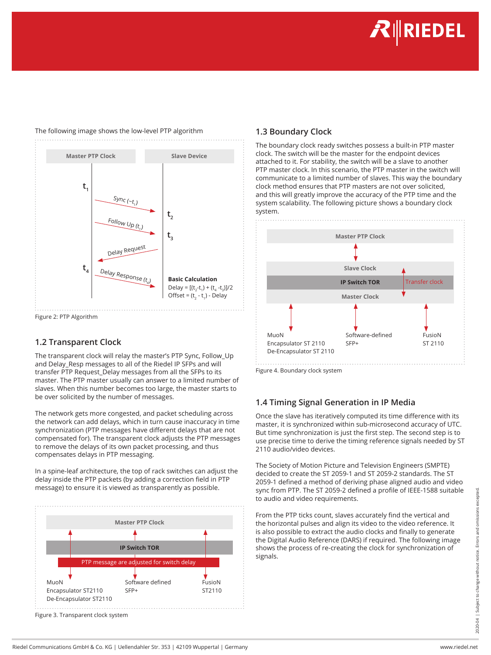**INEDEL** 



#### The following image shows the low-level PTP algorithm

### **1.2 Transparent Clock**

The transparent clock will relay the master's PTP Sync, Follow\_Up and Delay Resp messages to all of the Riedel IP SFPs and will transfer PTP Request\_Delay messages from all the SFPs to its master. The PTP master usually can answer to a limited number of slaves. When this number becomes too large, the master starts to be over solicited by the number of messages.

The network gets more congested, and packet scheduling across the network can add delays, which in turn cause inaccuracy in time synchronization (PTP messages have different delays that are not compensated for). The transparent clock adjusts the PTP messages to remove the delays of its own packet processing, and thus compensates delays in PTP messaging.

In a spine-leaf architecture, the top of rack switches can adjust the delay inside the PTP packets (by adding a correction field in PTP message) to ensure it is viewed as transparently as possible.



Figure 3. Transparent clock system

#### **1.3 Boundary Clock**

The boundary clock ready switches possess a built-in PTP master clock. The switch will be the master for the endpoint devices attached to it. For stability, the switch will be a slave to another PTP master clock. In this scenario, the PTP master in the switch will communicate to a limited number of slaves. This way the boundary clock method ensures that PTP masters are not over solicited, and this will greatly improve the accuracy of the PTP time and the system scalability. The following picture shows a boundary clock system.



Figure 4. Boundary clock system

### **1.4 Timing Signal Generation in IP Media**

Once the slave has iteratively computed its time difference with its master, it is synchronized within sub-microsecond accuracy of UTC. But time synchronization is just the first step. The second step is to use precise time to derive the timing reference signals needed by ST 2110 audio/video devices.

The Society of Motion Picture and Television Engineers (SMPTE) decided to create the ST 2059-1 and ST 2059-2 standards. The ST 2059-1 defined a method of deriving phase aligned audio and video sync from PTP. The ST 2059-2 defined a profile of IEEE-1588 suitable to audio and video requirements.

From the PTP ticks count, slaves accurately find the vertical and the horizontal pulses and align its video to the video reference. It is also possible to extract the audio clocks and finally to generate the Digital Audio Reference (DARS) if required. The following image shows the process of re-creating the clock for synchronization of signals.